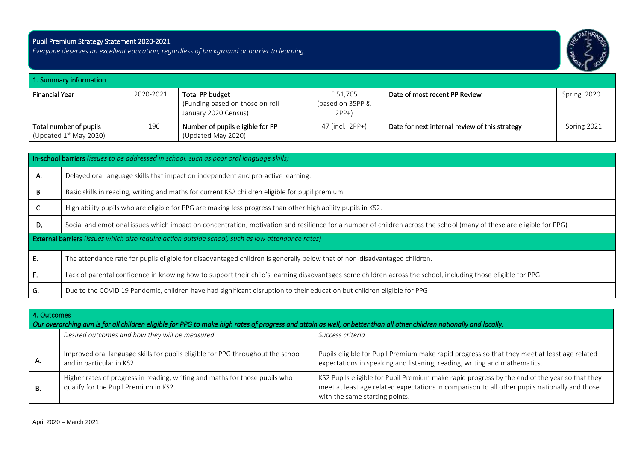## Pupil Premium Strategy Statement 2020-2021

i

*Everyone deserves an excellent education, regardless of background or barrier to learning.* 



| 1. Summary information                             |           |                                                                            |                                       |                                                |             |  |  |
|----------------------------------------------------|-----------|----------------------------------------------------------------------------|---------------------------------------|------------------------------------------------|-------------|--|--|
| <b>Financial Year</b>                              | 2020-2021 | Total PP budget<br>(Funding based on those on roll<br>January 2020 Census) | £51.765<br>(based on 35PP &<br>$2PP+$ | Date of most recent PP Review                  | Spring 2020 |  |  |
| Total number of pupils<br>(Updated $1st$ May 2020) | 196       | Number of pupils eligible for PP<br>(Updated May 2020)                     | 47 (incl. 2PP+)                       | Date for next internal review of this strategy | Spring 2021 |  |  |

|    | In-school barriers (issues to be addressed in school, such as poor oral language skills)                                                                             |  |  |  |  |  |  |
|----|----------------------------------------------------------------------------------------------------------------------------------------------------------------------|--|--|--|--|--|--|
| А. | Delayed oral language skills that impact on independent and pro-active learning.                                                                                     |  |  |  |  |  |  |
| В. | Basic skills in reading, writing and maths for current KS2 children eligible for pupil premium.                                                                      |  |  |  |  |  |  |
| C. | High ability pupils who are eligible for PPG are making less progress than other high ability pupils in KS2.                                                         |  |  |  |  |  |  |
| D. | Social and emotional issues which impact on concentration, motivation and resilience for a number of children across the school (many of these are eligible for PPG) |  |  |  |  |  |  |
|    | <b>External barriers</b> (issues which also require action outside school, such as low attendance rates)                                                             |  |  |  |  |  |  |
| E. | The attendance rate for pupils eligible for disadvantaged children is generally below that of non-disadvantaged children.                                            |  |  |  |  |  |  |
| F. | Lack of parental confidence in knowing how to support their child's learning disadvantages some children across the school, including those eligible for PPG.        |  |  |  |  |  |  |
| G. | Due to the COVID 19 Pandemic, children have had significant disruption to their education but children eligible for PPG                                              |  |  |  |  |  |  |

|     | 4. Outcomes<br>Our overarching aim is for all children eligible for PPG to make high rates of progress and attain as well, or better than all other children nationally and locally. |                                                                                                                                                                                                                                  |  |  |  |  |  |
|-----|--------------------------------------------------------------------------------------------------------------------------------------------------------------------------------------|----------------------------------------------------------------------------------------------------------------------------------------------------------------------------------------------------------------------------------|--|--|--|--|--|
|     | Desired outcomes and how they will be measured                                                                                                                                       | Success criteria                                                                                                                                                                                                                 |  |  |  |  |  |
| А.  | Improved oral language skills for pupils eligible for PPG throughout the school<br>and in particular in KS2.                                                                         | Pupils eligible for Pupil Premium make rapid progress so that they meet at least age related<br>expectations in speaking and listening, reading, writing and mathematics.                                                        |  |  |  |  |  |
| -В. | Higher rates of progress in reading, writing and maths for those pupils who<br>qualify for the Pupil Premium in KS2.                                                                 | KS2 Pupils eligible for Pupil Premium make rapid progress by the end of the year so that they<br>meet at least age related expectations in comparison to all other pupils nationally and those<br>with the same starting points. |  |  |  |  |  |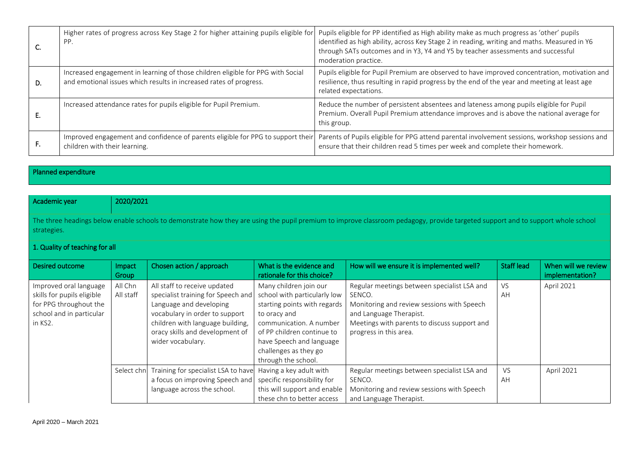|    | Higher rates of progress across Key Stage 2 for higher attaining pupils eligible for<br>PP.                                                           | Pupils eligible for PP identified as High ability make as much progress as 'other' pupils<br>identified as high ability, across Key Stage 2 in reading, writing and maths. Measured in Y6<br>through SATs outcomes and in Y3, Y4 and Y5 by teacher assessments and successful<br>moderation practice. |
|----|-------------------------------------------------------------------------------------------------------------------------------------------------------|-------------------------------------------------------------------------------------------------------------------------------------------------------------------------------------------------------------------------------------------------------------------------------------------------------|
| D. | Increased engagement in learning of those children eligible for PPG with Social<br>and emotional issues which results in increased rates of progress. | Pupils eligible for Pupil Premium are observed to have improved concentration, motivation and<br>resilience, thus resulting in rapid progress by the end of the year and meeting at least age<br>related expectations.                                                                                |
|    | Increased attendance rates for pupils eligible for Pupil Premium.                                                                                     | Reduce the number of persistent absentees and lateness among pupils eligible for Pupil<br>Premium. Overall Pupil Premium attendance improves and is above the national average for<br>this group.                                                                                                     |
| г. | Improved engagement and confidence of parents eligible for PPG to support their<br>children with their learning.                                      | Parents of Pupils eligible for PPG attend parental involvement sessions, workshop sessions and<br>ensure that their children read 5 times per week and complete their homework.                                                                                                                       |

Planned expenditure

| Academic year                                                                                                                                                                                  |                                | 2020/2021                                                                                                                                                                                                                   |                                                                                                                                                                                                                                             |                                                                                                                                                                                                          |                   |                                        |  |  |
|------------------------------------------------------------------------------------------------------------------------------------------------------------------------------------------------|--------------------------------|-----------------------------------------------------------------------------------------------------------------------------------------------------------------------------------------------------------------------------|---------------------------------------------------------------------------------------------------------------------------------------------------------------------------------------------------------------------------------------------|----------------------------------------------------------------------------------------------------------------------------------------------------------------------------------------------------------|-------------------|----------------------------------------|--|--|
| The three headings below enable schools to demonstrate how they are using the pupil premium to improve classroom pedagogy, provide targeted support and to support whole school<br>strategies. |                                |                                                                                                                                                                                                                             |                                                                                                                                                                                                                                             |                                                                                                                                                                                                          |                   |                                        |  |  |
|                                                                                                                                                                                                | 1. Quality of teaching for all |                                                                                                                                                                                                                             |                                                                                                                                                                                                                                             |                                                                                                                                                                                                          |                   |                                        |  |  |
| Desired outcome                                                                                                                                                                                | Impact<br>Group                | Chosen action / approach                                                                                                                                                                                                    | What is the evidence and<br>rationale for this choice?                                                                                                                                                                                      | How will we ensure it is implemented well?                                                                                                                                                               | <b>Staff lead</b> | When will we review<br>implementation? |  |  |
| Improved oral language<br>skills for pupils eligible<br>for PPG throughout the<br>school and in particular<br>in KS2.                                                                          | All Chn<br>All staff           | All staff to receive updated<br>specialist training for Speech and<br>Language and developing<br>vocabulary in order to support<br>children with language building,<br>oracy skills and development of<br>wider vocabulary. | Many children join our<br>school with particularly low<br>starting points with regards<br>to oracy and<br>communication. A number<br>of PP children continue to<br>have Speech and language<br>challenges as they go<br>through the school. | Regular meetings between specialist LSA and<br>SENCO.<br>Monitoring and review sessions with Speech<br>and Language Therapist.<br>Meetings with parents to discuss support and<br>progress in this area. | <b>VS</b><br>AH   | April 2021                             |  |  |
|                                                                                                                                                                                                | Select chn                     | Training for specialist LSA to have<br>a focus on improving Speech and<br>language across the school.                                                                                                                       | Having a key adult with<br>specific responsibility for<br>this will support and enable<br>these chn to better access                                                                                                                        | Regular meetings between specialist LSA and<br>SENCO.<br>Monitoring and review sessions with Speech<br>and Language Therapist.                                                                           | VS<br>AH          | April 2021                             |  |  |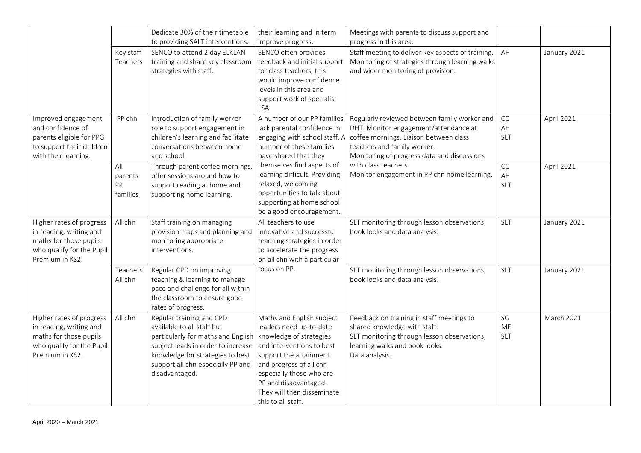|                                                                                                                               |                                  | Dedicate 30% of their timetable<br>to providing SALT interventions.                                                                                                                                                           | their learning and in term<br>improve progress.                                                                                                                                                                                                                            | Meetings with parents to discuss support and<br>progress in this area.                                                                                                                                        |                               |              |
|-------------------------------------------------------------------------------------------------------------------------------|----------------------------------|-------------------------------------------------------------------------------------------------------------------------------------------------------------------------------------------------------------------------------|----------------------------------------------------------------------------------------------------------------------------------------------------------------------------------------------------------------------------------------------------------------------------|---------------------------------------------------------------------------------------------------------------------------------------------------------------------------------------------------------------|-------------------------------|--------------|
|                                                                                                                               | Key staff<br>Teachers            | SENCO to attend 2 day ELKLAN<br>training and share key classroom<br>strategies with staff.                                                                                                                                    | SENCO often provides<br>feedback and initial support<br>for class teachers, this<br>would improve confidence<br>levels in this area and<br>support work of specialist<br>LSA                                                                                               | Staff meeting to deliver key aspects of training.<br>Monitoring of strategies through learning walks<br>and wider monitoring of provision.                                                                    | AH                            | January 2021 |
| Improved engagement<br>and confidence of<br>parents eligible for PPG<br>to support their children<br>with their learning.     | PP chn                           | Introduction of family worker<br>role to support engagement in<br>children's learning and facilitate<br>conversations between home<br>and school.                                                                             | A number of our PP families<br>lack parental confidence in<br>engaging with school staff. A<br>number of these families<br>have shared that they                                                                                                                           | Regularly reviewed between family worker and<br>DHT. Monitor engagement/attendance at<br>coffee mornings. Liaison between class<br>teachers and family worker.<br>Monitoring of progress data and discussions | CC<br>AH<br><b>SLT</b>        | April 2021   |
|                                                                                                                               | All<br>parents<br>PP<br>families | Through parent coffee mornings,<br>offer sessions around how to<br>support reading at home and<br>supporting home learning.                                                                                                   | themselves find aspects of<br>learning difficult. Providing<br>relaxed, welcoming<br>opportunities to talk about<br>supporting at home school<br>be a good encouragement.                                                                                                  | with class teachers.<br>Monitor engagement in PP chn home learning.                                                                                                                                           | CC<br>AH<br><b>SLT</b>        | April 2021   |
| Higher rates of progress<br>in reading, writing and<br>maths for those pupils<br>who qualify for the Pupil<br>Premium in KS2. | All chn                          | Staff training on managing<br>provision maps and planning and<br>monitoring appropriate<br>interventions.                                                                                                                     | All teachers to use<br>innovative and successful<br>teaching strategies in order<br>to accelerate the progress<br>on all chn with a particular                                                                                                                             | SLT monitoring through lesson observations,<br>book looks and data analysis.                                                                                                                                  | <b>SLT</b>                    | January 2021 |
|                                                                                                                               | Teachers<br>All chn              | Regular CPD on improving<br>teaching & learning to manage<br>pace and challenge for all within<br>the classroom to ensure good<br>rates of progress.                                                                          | focus on PP.                                                                                                                                                                                                                                                               | SLT monitoring through lesson observations,<br>book looks and data analysis.                                                                                                                                  | <b>SLT</b>                    | January 2021 |
| Higher rates of progress<br>in reading, writing and<br>maths for those pupils<br>who qualify for the Pupil<br>Premium in KS2. | All chn                          | Regular training and CPD<br>available to all staff but<br>particularly for maths and English<br>subject leads in order to increase<br>knowledge for strategies to best<br>support all chn especially PP and<br>disadvantaged. | Maths and English subject<br>leaders need up-to-date<br>knowledge of strategies<br>and interventions to best<br>support the attainment<br>and progress of all chn<br>especially those who are<br>PP and disadvantaged.<br>They will then disseminate<br>this to all staff. | Feedback on training in staff meetings to<br>shared knowledge with staff.<br>SLT monitoring through lesson observations,<br>learning walks and book looks.<br>Data analysis.                                  | SG<br><b>ME</b><br><b>SLT</b> | March 2021   |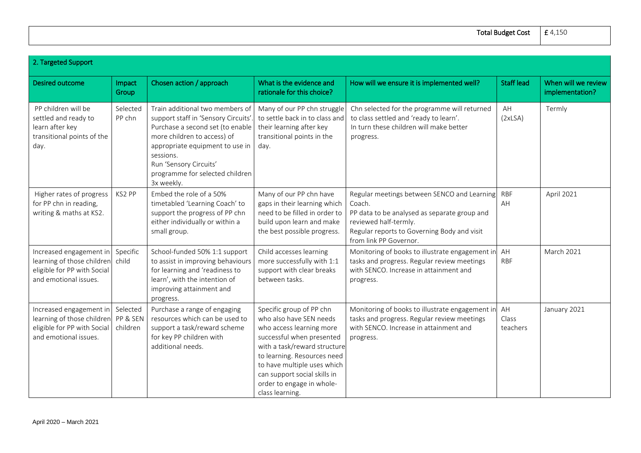Total Budget Cost

| г<br>150<br>г<br>$\overline{4}$ |  |
|---------------------------------|--|
|---------------------------------|--|

| 2. Targeted Support                                                                                                    |                      |                                                                                                                                                                                                                                                                       |                                                                                                                                                                                                                                                                                            |                                                                                                                                                                                                         |                         |                                        |
|------------------------------------------------------------------------------------------------------------------------|----------------------|-----------------------------------------------------------------------------------------------------------------------------------------------------------------------------------------------------------------------------------------------------------------------|--------------------------------------------------------------------------------------------------------------------------------------------------------------------------------------------------------------------------------------------------------------------------------------------|---------------------------------------------------------------------------------------------------------------------------------------------------------------------------------------------------------|-------------------------|----------------------------------------|
| Desired outcome                                                                                                        | Impact<br>Group      | Chosen action / approach                                                                                                                                                                                                                                              | What is the evidence and<br>rationale for this choice?                                                                                                                                                                                                                                     | How will we ensure it is implemented well?                                                                                                                                                              | <b>Staff lead</b>       | When will we review<br>implementation? |
| PP children will be<br>settled and ready to<br>learn after key<br>transitional points of the<br>day.                   | Selected<br>PP chn   | Train additional two members of<br>support staff in 'Sensory Circuits'.<br>Purchase a second set (to enable<br>more children to access) of<br>appropriate equipment to use in<br>sessions.<br>Run 'Sensory Circuits'<br>programme for selected children<br>3x weekly. | Many of our PP chn struggle<br>to settle back in to class and<br>their learning after key<br>transitional points in the<br>day.                                                                                                                                                            | Chn selected for the programme will returned<br>to class settled and 'ready to learn'.<br>In turn these children will make better<br>progress.                                                          | AH<br>(2xLSA)           | Termly                                 |
| Higher rates of progress<br>for PP chn in reading,<br>writing & maths at KS2.                                          | KS2 PP               | Embed the role of a 50%<br>timetabled 'Learning Coach' to<br>support the progress of PP chn<br>either individually or within a<br>small group.                                                                                                                        | Many of our PP chn have<br>gaps in their learning which<br>need to be filled in order to<br>build upon learn and make<br>the best possible progress.                                                                                                                                       | Regular meetings between SENCO and Learning<br>Coach.<br>PP data to be analysed as separate group and<br>reviewed half-termly.<br>Regular reports to Governing Body and visit<br>from link PP Governor. | <b>RBF</b><br>AH        | April 2021                             |
| Increased engagement in<br>learning of those children<br>eligible for PP with Social<br>and emotional issues.          | Specific<br>child    | School-funded 50% 1:1 support<br>to assist in improving behaviours<br>for learning and 'readiness to<br>learn', with the intention of<br>improving attainment and<br>progress.                                                                                        | Child accesses learning<br>more successfully with 1:1<br>support with clear breaks<br>between tasks.                                                                                                                                                                                       | Monitoring of books to illustrate engagement in<br>tasks and progress. Regular review meetings<br>with SENCO. Increase in attainment and<br>progress.                                                   | AH<br><b>RBF</b>        | <b>March 2021</b>                      |
| Increased engagement in<br>learning of those children PP & SEN<br>eligible for PP with Social<br>and emotional issues. | Selected<br>children | Purchase a range of engaging<br>resources which can be used to<br>support a task/reward scheme<br>for key PP children with<br>additional needs.                                                                                                                       | Specific group of PP chn<br>who also have SEN needs<br>who access learning more<br>successful when presented<br>with a task/reward structure<br>to learning. Resources need<br>to have multiple uses which<br>can support social skills in<br>order to engage in whole-<br>class learning. | Monitoring of books to illustrate engagement in<br>tasks and progress. Regular review meetings<br>with SENCO. Increase in attainment and<br>progress.                                                   | AH<br>Class<br>teachers | January 2021                           |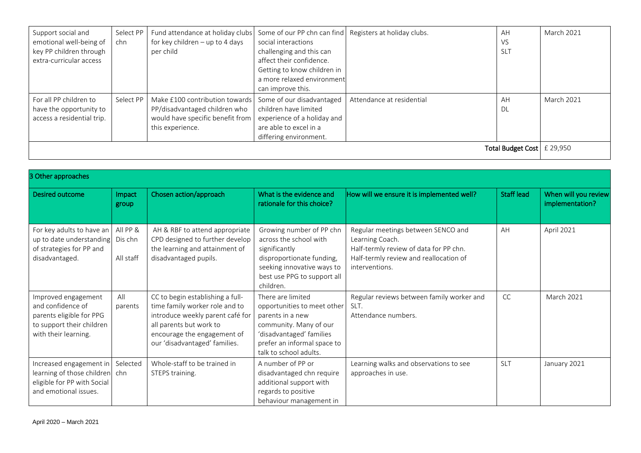| Support social and         | Select PP | Fund attendance at holiday clubs | Some of our PP chn can find | Registers at holiday clubs. | AH                           | <b>March 2021</b> |
|----------------------------|-----------|----------------------------------|-----------------------------|-----------------------------|------------------------------|-------------------|
| emotional well-being of    | chn       | for key children - up to 4 days  | social interactions         |                             | <b>VS</b>                    |                   |
| key PP children through    |           | per child                        | challenging and this can    |                             | <b>SLT</b>                   |                   |
| extra-curricular access    |           |                                  | affect their confidence.    |                             |                              |                   |
|                            |           |                                  | Getting to know children in |                             |                              |                   |
|                            |           |                                  | a more relaxed environment  |                             |                              |                   |
|                            |           |                                  | can improve this.           |                             |                              |                   |
| For all PP children to     | Select PP | Make £100 contribution towards   | Some of our disadvantaged   | Attendance at residential   | AH                           | March 2021        |
| have the opportunity to    |           | PP/disadvantaged children who    | children have limited       |                             | DL                           |                   |
| access a residential trip. |           | would have specific benefit from | experience of a holiday and |                             |                              |                   |
|                            |           | this experience.                 | are able to excel in a      |                             |                              |                   |
|                            |           |                                  | differing environment.      |                             |                              |                   |
|                            |           |                                  |                             |                             | Total Budget Cost   £ 29,950 |                   |
|                            |           |                                  |                             |                             |                              |                   |

| 3 Other approaches                                                                                                        |                                  |                                                                                                                                                                                                   |                                                                                                                                                                                     |                                                                                                                                                             |            |                                         |
|---------------------------------------------------------------------------------------------------------------------------|----------------------------------|---------------------------------------------------------------------------------------------------------------------------------------------------------------------------------------------------|-------------------------------------------------------------------------------------------------------------------------------------------------------------------------------------|-------------------------------------------------------------------------------------------------------------------------------------------------------------|------------|-----------------------------------------|
| Desired outcome                                                                                                           | Impact<br>group                  | Chosen action/approach                                                                                                                                                                            | What is the evidence and<br>rationale for this choice?                                                                                                                              | How will we ensure it is implemented well?                                                                                                                  | Staff lead | When will you review<br>implementation? |
| For key adults to have an<br>up to date understanding<br>of strategies for PP and<br>disadvantaged.                       | All PP &<br>Dis chn<br>All staff | AH & RBF to attend appropriate<br>CPD designed to further develop<br>the learning and attainment of<br>disadvantaged pupils.                                                                      | Growing number of PP chn<br>across the school with<br>significantly<br>disproportionate funding,<br>seeking innovative ways to<br>best use PPG to support all<br>children.          | Regular meetings between SENCO and<br>Learning Coach.<br>Half-termly review of data for PP chn.<br>Half-termly review and reallocation of<br>interventions. | AH         | April 2021                              |
| Improved engagement<br>and confidence of<br>parents eligible for PPG<br>to support their children<br>with their learning. | All<br>parents                   | CC to begin establishing a full-<br>time family worker role and to<br>introduce weekly parent café for<br>all parents but work to<br>encourage the engagement of<br>our 'disadvantaged' families. | There are limited<br>opportunities to meet other<br>parents in a new<br>community. Many of our<br>'disadvantaged' families<br>prefer an informal space to<br>talk to school adults. | Regular reviews between family worker and<br>SLT.<br>Attendance numbers.                                                                                    | CC         | <b>March 2021</b>                       |
| Increased engagement in<br>learning of those children<br>eligible for PP with Social<br>and emotional issues.             | Selected<br>chn                  | Whole-staff to be trained in<br>STEPS training.                                                                                                                                                   | A number of PP or<br>disadvantaged chn require<br>additional support with<br>regards to positive<br>behaviour management in                                                         | Learning walks and observations to see<br>approaches in use.                                                                                                | <b>SLT</b> | January 2021                            |